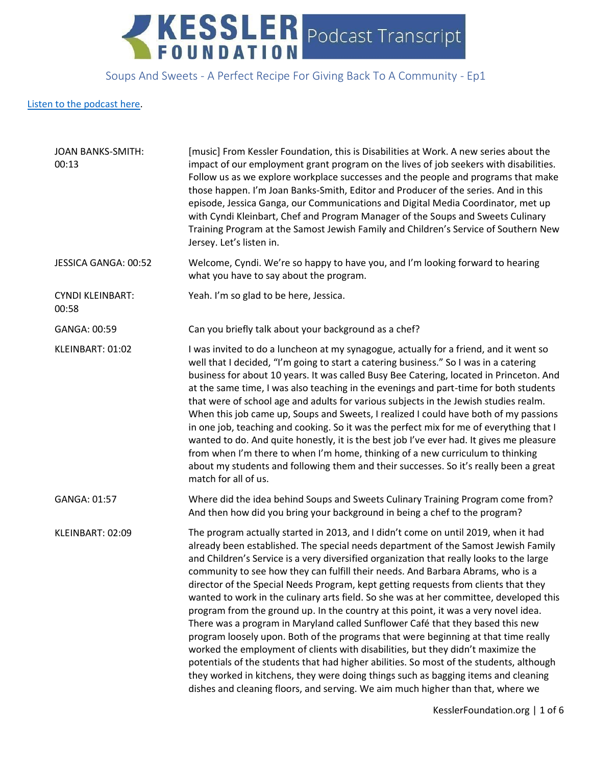

### Soups And Sweets - A Perfect Recipe For Giving Back To A Community - Ep1

#### [Listen to the podcast here.](https://soundcloud.com/kesslerfoundation/soups-and-sweets-a-perfect-recipe-for-giving-back-to-a-community)

| <b>JOAN BANKS-SMITH:</b><br>00:13 | [music] From Kessler Foundation, this is Disabilities at Work. A new series about the<br>impact of our employment grant program on the lives of job seekers with disabilities.<br>Follow us as we explore workplace successes and the people and programs that make<br>those happen. I'm Joan Banks-Smith, Editor and Producer of the series. And in this<br>episode, Jessica Ganga, our Communications and Digital Media Coordinator, met up<br>with Cyndi Kleinbart, Chef and Program Manager of the Soups and Sweets Culinary<br>Training Program at the Samost Jewish Family and Children's Service of Southern New<br>Jersey. Let's listen in.                                                                                                                                                                                                                                                                                                                                                                                                                                                                                                             |
|-----------------------------------|-----------------------------------------------------------------------------------------------------------------------------------------------------------------------------------------------------------------------------------------------------------------------------------------------------------------------------------------------------------------------------------------------------------------------------------------------------------------------------------------------------------------------------------------------------------------------------------------------------------------------------------------------------------------------------------------------------------------------------------------------------------------------------------------------------------------------------------------------------------------------------------------------------------------------------------------------------------------------------------------------------------------------------------------------------------------------------------------------------------------------------------------------------------------|
| JESSICA GANGA: 00:52              | Welcome, Cyndi. We're so happy to have you, and I'm looking forward to hearing<br>what you have to say about the program.                                                                                                                                                                                                                                                                                                                                                                                                                                                                                                                                                                                                                                                                                                                                                                                                                                                                                                                                                                                                                                       |
| <b>CYNDI KLEINBART:</b><br>00:58  | Yeah. I'm so glad to be here, Jessica.                                                                                                                                                                                                                                                                                                                                                                                                                                                                                                                                                                                                                                                                                                                                                                                                                                                                                                                                                                                                                                                                                                                          |
| GANGA: 00:59                      | Can you briefly talk about your background as a chef?                                                                                                                                                                                                                                                                                                                                                                                                                                                                                                                                                                                                                                                                                                                                                                                                                                                                                                                                                                                                                                                                                                           |
| KLEINBART: 01:02                  | I was invited to do a luncheon at my synagogue, actually for a friend, and it went so<br>well that I decided, "I'm going to start a catering business." So I was in a catering<br>business for about 10 years. It was called Busy Bee Catering, located in Princeton. And<br>at the same time, I was also teaching in the evenings and part-time for both students<br>that were of school age and adults for various subjects in the Jewish studies realm.<br>When this job came up, Soups and Sweets, I realized I could have both of my passions<br>in one job, teaching and cooking. So it was the perfect mix for me of everything that I<br>wanted to do. And quite honestly, it is the best job I've ever had. It gives me pleasure<br>from when I'm there to when I'm home, thinking of a new curriculum to thinking<br>about my students and following them and their successes. So it's really been a great<br>match for all of us.                                                                                                                                                                                                                    |
| GANGA: 01:57                      | Where did the idea behind Soups and Sweets Culinary Training Program come from?<br>And then how did you bring your background in being a chef to the program?                                                                                                                                                                                                                                                                                                                                                                                                                                                                                                                                                                                                                                                                                                                                                                                                                                                                                                                                                                                                   |
| KLEINBART: 02:09                  | The program actually started in 2013, and I didn't come on until 2019, when it had<br>already been established. The special needs department of the Samost Jewish Family<br>and Children's Service is a very diversified organization that really looks to the large<br>community to see how they can fulfill their needs. And Barbara Abrams, who is a<br>director of the Special Needs Program, kept getting requests from clients that they<br>wanted to work in the culinary arts field. So she was at her committee, developed this<br>program from the ground up. In the country at this point, it was a very novel idea.<br>There was a program in Maryland called Sunflower Café that they based this new<br>program loosely upon. Both of the programs that were beginning at that time really<br>worked the employment of clients with disabilities, but they didn't maximize the<br>potentials of the students that had higher abilities. So most of the students, although<br>they worked in kitchens, they were doing things such as bagging items and cleaning<br>dishes and cleaning floors, and serving. We aim much higher than that, where we |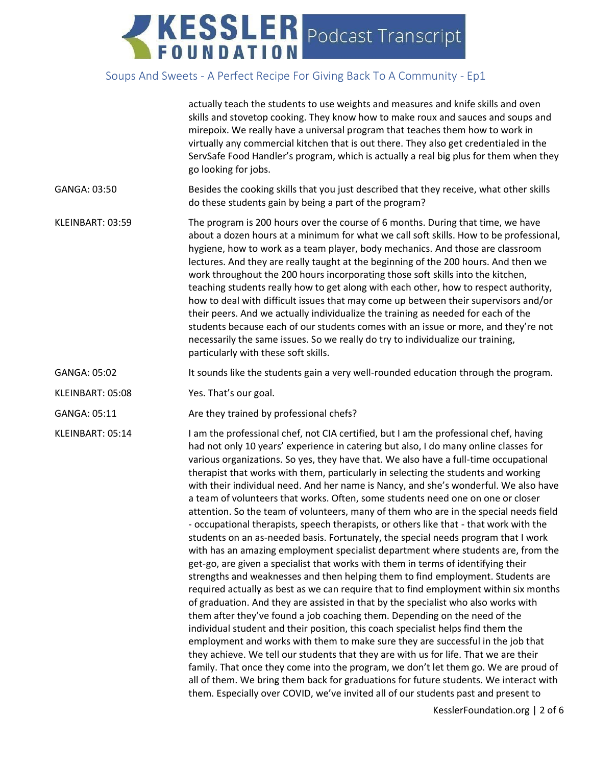|                  | actually teach the students to use weights and measures and knife skills and oven<br>skills and stovetop cooking. They know how to make roux and sauces and soups and<br>mirepoix. We really have a universal program that teaches them how to work in<br>virtually any commercial kitchen that is out there. They also get credentialed in the<br>ServSafe Food Handler's program, which is actually a real big plus for them when they<br>go looking for jobs.                                                                                                                                                                                                                                                                                                                                                                                                                                                                                                                                                                                                                                                                                                                                                                                                                                                                                                                                                                                                                                                                                                                                                                                                                                                                                                                                                                                                               |
|------------------|--------------------------------------------------------------------------------------------------------------------------------------------------------------------------------------------------------------------------------------------------------------------------------------------------------------------------------------------------------------------------------------------------------------------------------------------------------------------------------------------------------------------------------------------------------------------------------------------------------------------------------------------------------------------------------------------------------------------------------------------------------------------------------------------------------------------------------------------------------------------------------------------------------------------------------------------------------------------------------------------------------------------------------------------------------------------------------------------------------------------------------------------------------------------------------------------------------------------------------------------------------------------------------------------------------------------------------------------------------------------------------------------------------------------------------------------------------------------------------------------------------------------------------------------------------------------------------------------------------------------------------------------------------------------------------------------------------------------------------------------------------------------------------------------------------------------------------------------------------------------------------|
| GANGA: 03:50     | Besides the cooking skills that you just described that they receive, what other skills<br>do these students gain by being a part of the program?                                                                                                                                                                                                                                                                                                                                                                                                                                                                                                                                                                                                                                                                                                                                                                                                                                                                                                                                                                                                                                                                                                                                                                                                                                                                                                                                                                                                                                                                                                                                                                                                                                                                                                                              |
| KLEINBART: 03:59 | The program is 200 hours over the course of 6 months. During that time, we have<br>about a dozen hours at a minimum for what we call soft skills. How to be professional,<br>hygiene, how to work as a team player, body mechanics. And those are classroom<br>lectures. And they are really taught at the beginning of the 200 hours. And then we<br>work throughout the 200 hours incorporating those soft skills into the kitchen,<br>teaching students really how to get along with each other, how to respect authority,<br>how to deal with difficult issues that may come up between their supervisors and/or<br>their peers. And we actually individualize the training as needed for each of the<br>students because each of our students comes with an issue or more, and they're not<br>necessarily the same issues. So we really do try to individualize our training,<br>particularly with these soft skills.                                                                                                                                                                                                                                                                                                                                                                                                                                                                                                                                                                                                                                                                                                                                                                                                                                                                                                                                                     |
| GANGA: 05:02     | It sounds like the students gain a very well-rounded education through the program.                                                                                                                                                                                                                                                                                                                                                                                                                                                                                                                                                                                                                                                                                                                                                                                                                                                                                                                                                                                                                                                                                                                                                                                                                                                                                                                                                                                                                                                                                                                                                                                                                                                                                                                                                                                            |
| KLEINBART: 05:08 | Yes. That's our goal.                                                                                                                                                                                                                                                                                                                                                                                                                                                                                                                                                                                                                                                                                                                                                                                                                                                                                                                                                                                                                                                                                                                                                                                                                                                                                                                                                                                                                                                                                                                                                                                                                                                                                                                                                                                                                                                          |
| GANGA: 05:11     | Are they trained by professional chefs?                                                                                                                                                                                                                                                                                                                                                                                                                                                                                                                                                                                                                                                                                                                                                                                                                                                                                                                                                                                                                                                                                                                                                                                                                                                                                                                                                                                                                                                                                                                                                                                                                                                                                                                                                                                                                                        |
| KLEINBART: 05:14 | I am the professional chef, not CIA certified, but I am the professional chef, having<br>had not only 10 years' experience in catering but also, I do many online classes for<br>various organizations. So yes, they have that. We also have a full-time occupational<br>therapist that works with them, particularly in selecting the students and working<br>with their individual need. And her name is Nancy, and she's wonderful. We also have<br>a team of volunteers that works. Often, some students need one on one or closer<br>attention. So the team of volunteers, many of them who are in the special needs field<br>- occupational therapists, speech therapists, or others like that - that work with the<br>students on an as-needed basis. Fortunately, the special needs program that I work<br>with has an amazing employment specialist department where students are, from the<br>get-go, are given a specialist that works with them in terms of identifying their<br>strengths and weaknesses and then helping them to find employment. Students are<br>required actually as best as we can require that to find employment within six months<br>of graduation. And they are assisted in that by the specialist who also works with<br>them after they've found a job coaching them. Depending on the need of the<br>individual student and their position, this coach specialist helps find them the<br>employment and works with them to make sure they are successful in the job that<br>they achieve. We tell our students that they are with us for life. That we are their<br>family. That once they come into the program, we don't let them go. We are proud of<br>all of them. We bring them back for graduations for future students. We interact with<br>them. Especially over COVID, we've invited all of our students past and present to |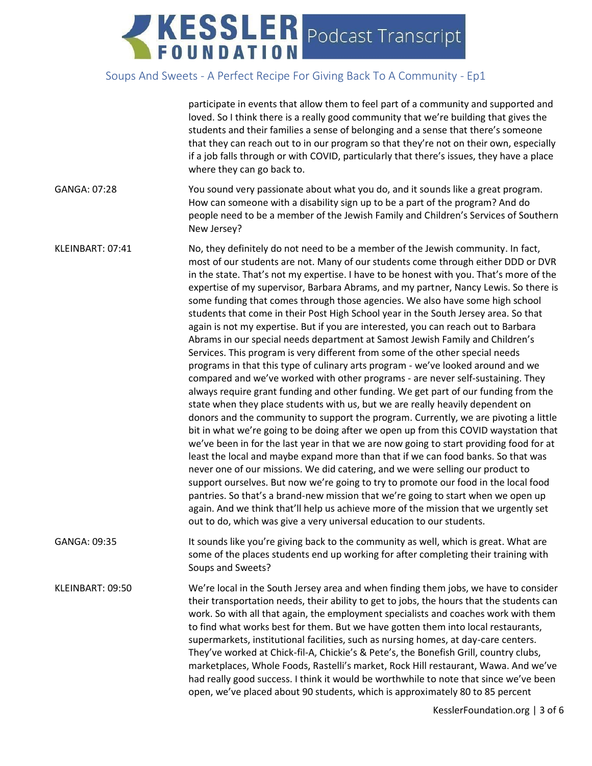|                  | participate in events that allow them to feel part of a community and supported and<br>loved. So I think there is a really good community that we're building that gives the<br>students and their families a sense of belonging and a sense that there's someone<br>that they can reach out to in our program so that they're not on their own, especially<br>if a job falls through or with COVID, particularly that there's issues, they have a place<br>where they can go back to.                                                                                                                                                                                                                                                                                                                                                                                                                                                                                                                                                                                                                                                                                                                                                                                                                                                                                                                                                                                                                                                                                                                                                                                                                                                                                                                                                                                                                                                  |
|------------------|-----------------------------------------------------------------------------------------------------------------------------------------------------------------------------------------------------------------------------------------------------------------------------------------------------------------------------------------------------------------------------------------------------------------------------------------------------------------------------------------------------------------------------------------------------------------------------------------------------------------------------------------------------------------------------------------------------------------------------------------------------------------------------------------------------------------------------------------------------------------------------------------------------------------------------------------------------------------------------------------------------------------------------------------------------------------------------------------------------------------------------------------------------------------------------------------------------------------------------------------------------------------------------------------------------------------------------------------------------------------------------------------------------------------------------------------------------------------------------------------------------------------------------------------------------------------------------------------------------------------------------------------------------------------------------------------------------------------------------------------------------------------------------------------------------------------------------------------------------------------------------------------------------------------------------------------|
| GANGA: 07:28     | You sound very passionate about what you do, and it sounds like a great program.<br>How can someone with a disability sign up to be a part of the program? And do<br>people need to be a member of the Jewish Family and Children's Services of Southern<br>New Jersey?                                                                                                                                                                                                                                                                                                                                                                                                                                                                                                                                                                                                                                                                                                                                                                                                                                                                                                                                                                                                                                                                                                                                                                                                                                                                                                                                                                                                                                                                                                                                                                                                                                                                 |
| KLEINBART: 07:41 | No, they definitely do not need to be a member of the Jewish community. In fact,<br>most of our students are not. Many of our students come through either DDD or DVR<br>in the state. That's not my expertise. I have to be honest with you. That's more of the<br>expertise of my supervisor, Barbara Abrams, and my partner, Nancy Lewis. So there is<br>some funding that comes through those agencies. We also have some high school<br>students that come in their Post High School year in the South Jersey area. So that<br>again is not my expertise. But if you are interested, you can reach out to Barbara<br>Abrams in our special needs department at Samost Jewish Family and Children's<br>Services. This program is very different from some of the other special needs<br>programs in that this type of culinary arts program - we've looked around and we<br>compared and we've worked with other programs - are never self-sustaining. They<br>always require grant funding and other funding. We get part of our funding from the<br>state when they place students with us, but we are really heavily dependent on<br>donors and the community to support the program. Currently, we are pivoting a little<br>bit in what we're going to be doing after we open up from this COVID waystation that<br>we've been in for the last year in that we are now going to start providing food for at<br>least the local and maybe expand more than that if we can food banks. So that was<br>never one of our missions. We did catering, and we were selling our product to<br>support ourselves. But now we're going to try to promote our food in the local food<br>pantries. So that's a brand-new mission that we're going to start when we open up<br>again. And we think that'll help us achieve more of the mission that we urgently set<br>out to do, which was give a very universal education to our students. |
| GANGA: 09:35     | It sounds like you're giving back to the community as well, which is great. What are<br>some of the places students end up working for after completing their training with<br>Soups and Sweets?                                                                                                                                                                                                                                                                                                                                                                                                                                                                                                                                                                                                                                                                                                                                                                                                                                                                                                                                                                                                                                                                                                                                                                                                                                                                                                                                                                                                                                                                                                                                                                                                                                                                                                                                        |
| KLEINBART: 09:50 | We're local in the South Jersey area and when finding them jobs, we have to consider<br>their transportation needs, their ability to get to jobs, the hours that the students can<br>work. So with all that again, the employment specialists and coaches work with them<br>to find what works best for them. But we have gotten them into local restaurants,<br>supermarkets, institutional facilities, such as nursing homes, at day-care centers.<br>They've worked at Chick-fil-A, Chickie's & Pete's, the Bonefish Grill, country clubs,<br>marketplaces, Whole Foods, Rastelli's market, Rock Hill restaurant, Wawa. And we've<br>had really good success. I think it would be worthwhile to note that since we've been<br>open, we've placed about 90 students, which is approximately 80 to 85 percent                                                                                                                                                                                                                                                                                                                                                                                                                                                                                                                                                                                                                                                                                                                                                                                                                                                                                                                                                                                                                                                                                                                          |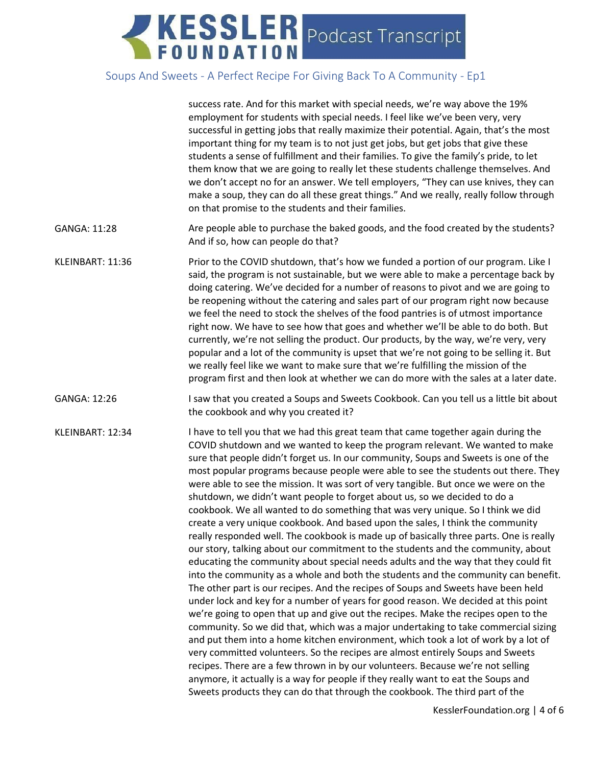|                  | success rate. And for this market with special needs, we're way above the 19%<br>employment for students with special needs. I feel like we've been very, very<br>successful in getting jobs that really maximize their potential. Again, that's the most<br>important thing for my team is to not just get jobs, but get jobs that give these<br>students a sense of fulfillment and their families. To give the family's pride, to let<br>them know that we are going to really let these students challenge themselves. And<br>we don't accept no for an answer. We tell employers, "They can use knives, they can<br>make a soup, they can do all these great things." And we really, really follow through<br>on that promise to the students and their families.                                                                                                                                                                                                                                                                                                                                                                                                                                                                                                                                                                                                                                                                                                                                                                                                                                                                                                                                                                                                                                                                    |
|------------------|-------------------------------------------------------------------------------------------------------------------------------------------------------------------------------------------------------------------------------------------------------------------------------------------------------------------------------------------------------------------------------------------------------------------------------------------------------------------------------------------------------------------------------------------------------------------------------------------------------------------------------------------------------------------------------------------------------------------------------------------------------------------------------------------------------------------------------------------------------------------------------------------------------------------------------------------------------------------------------------------------------------------------------------------------------------------------------------------------------------------------------------------------------------------------------------------------------------------------------------------------------------------------------------------------------------------------------------------------------------------------------------------------------------------------------------------------------------------------------------------------------------------------------------------------------------------------------------------------------------------------------------------------------------------------------------------------------------------------------------------------------------------------------------------------------------------------------------------|
| GANGA: 11:28     | Are people able to purchase the baked goods, and the food created by the students?<br>And if so, how can people do that?                                                                                                                                                                                                                                                                                                                                                                                                                                                                                                                                                                                                                                                                                                                                                                                                                                                                                                                                                                                                                                                                                                                                                                                                                                                                                                                                                                                                                                                                                                                                                                                                                                                                                                                  |
| KLEINBART: 11:36 | Prior to the COVID shutdown, that's how we funded a portion of our program. Like I<br>said, the program is not sustainable, but we were able to make a percentage back by<br>doing catering. We've decided for a number of reasons to pivot and we are going to<br>be reopening without the catering and sales part of our program right now because<br>we feel the need to stock the shelves of the food pantries is of utmost importance<br>right now. We have to see how that goes and whether we'll be able to do both. But<br>currently, we're not selling the product. Our products, by the way, we're very, very<br>popular and a lot of the community is upset that we're not going to be selling it. But<br>we really feel like we want to make sure that we're fulfilling the mission of the<br>program first and then look at whether we can do more with the sales at a later date.                                                                                                                                                                                                                                                                                                                                                                                                                                                                                                                                                                                                                                                                                                                                                                                                                                                                                                                                           |
| GANGA: 12:26     | I saw that you created a Soups and Sweets Cookbook. Can you tell us a little bit about<br>the cookbook and why you created it?                                                                                                                                                                                                                                                                                                                                                                                                                                                                                                                                                                                                                                                                                                                                                                                                                                                                                                                                                                                                                                                                                                                                                                                                                                                                                                                                                                                                                                                                                                                                                                                                                                                                                                            |
| KLEINBART: 12:34 | I have to tell you that we had this great team that came together again during the<br>COVID shutdown and we wanted to keep the program relevant. We wanted to make<br>sure that people didn't forget us. In our community, Soups and Sweets is one of the<br>most popular programs because people were able to see the students out there. They<br>were able to see the mission. It was sort of very tangible. But once we were on the<br>shutdown, we didn't want people to forget about us, so we decided to do a<br>cookbook. We all wanted to do something that was very unique. So I think we did<br>create a very unique cookbook. And based upon the sales, I think the community<br>really responded well. The cookbook is made up of basically three parts. One is really<br>our story, talking about our commitment to the students and the community, about<br>educating the community about special needs adults and the way that they could fit<br>into the community as a whole and both the students and the community can benefit.<br>The other part is our recipes. And the recipes of Soups and Sweets have been held<br>under lock and key for a number of years for good reason. We decided at this point<br>we're going to open that up and give out the recipes. Make the recipes open to the<br>community. So we did that, which was a major undertaking to take commercial sizing<br>and put them into a home kitchen environment, which took a lot of work by a lot of<br>very committed volunteers. So the recipes are almost entirely Soups and Sweets<br>recipes. There are a few thrown in by our volunteers. Because we're not selling<br>anymore, it actually is a way for people if they really want to eat the Soups and<br>Sweets products they can do that through the cookbook. The third part of the |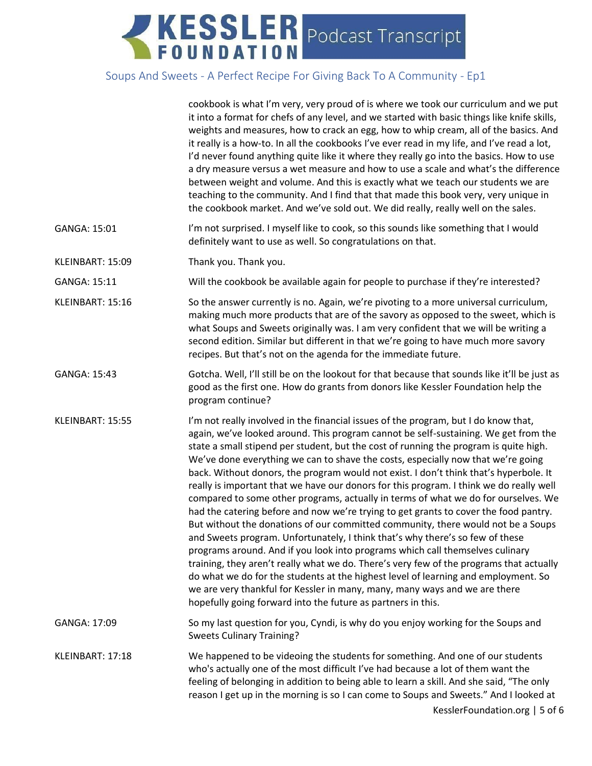|                  | cookbook is what I'm very, very proud of is where we took our curriculum and we put<br>it into a format for chefs of any level, and we started with basic things like knife skills,<br>weights and measures, how to crack an egg, how to whip cream, all of the basics. And<br>it really is a how-to. In all the cookbooks I've ever read in my life, and I've read a lot,<br>I'd never found anything quite like it where they really go into the basics. How to use<br>a dry measure versus a wet measure and how to use a scale and what's the difference<br>between weight and volume. And this is exactly what we teach our students we are<br>teaching to the community. And I find that that made this book very, very unique in<br>the cookbook market. And we've sold out. We did really, really well on the sales.                                                                                                                                                                                                                                                                                                                                                                                                                                                                                   |
|------------------|----------------------------------------------------------------------------------------------------------------------------------------------------------------------------------------------------------------------------------------------------------------------------------------------------------------------------------------------------------------------------------------------------------------------------------------------------------------------------------------------------------------------------------------------------------------------------------------------------------------------------------------------------------------------------------------------------------------------------------------------------------------------------------------------------------------------------------------------------------------------------------------------------------------------------------------------------------------------------------------------------------------------------------------------------------------------------------------------------------------------------------------------------------------------------------------------------------------------------------------------------------------------------------------------------------------|
| GANGA: 15:01     | I'm not surprised. I myself like to cook, so this sounds like something that I would<br>definitely want to use as well. So congratulations on that.                                                                                                                                                                                                                                                                                                                                                                                                                                                                                                                                                                                                                                                                                                                                                                                                                                                                                                                                                                                                                                                                                                                                                            |
| KLEINBART: 15:09 | Thank you. Thank you.                                                                                                                                                                                                                                                                                                                                                                                                                                                                                                                                                                                                                                                                                                                                                                                                                                                                                                                                                                                                                                                                                                                                                                                                                                                                                          |
| GANGA: 15:11     | Will the cookbook be available again for people to purchase if they're interested?                                                                                                                                                                                                                                                                                                                                                                                                                                                                                                                                                                                                                                                                                                                                                                                                                                                                                                                                                                                                                                                                                                                                                                                                                             |
| KLEINBART: 15:16 | So the answer currently is no. Again, we're pivoting to a more universal curriculum,<br>making much more products that are of the savory as opposed to the sweet, which is<br>what Soups and Sweets originally was. I am very confident that we will be writing a<br>second edition. Similar but different in that we're going to have much more savory<br>recipes. But that's not on the agenda for the immediate future.                                                                                                                                                                                                                                                                                                                                                                                                                                                                                                                                                                                                                                                                                                                                                                                                                                                                                     |
| GANGA: 15:43     | Gotcha. Well, I'll still be on the lookout for that because that sounds like it'll be just as<br>good as the first one. How do grants from donors like Kessler Foundation help the<br>program continue?                                                                                                                                                                                                                                                                                                                                                                                                                                                                                                                                                                                                                                                                                                                                                                                                                                                                                                                                                                                                                                                                                                        |
| KLEINBART: 15:55 | I'm not really involved in the financial issues of the program, but I do know that,<br>again, we've looked around. This program cannot be self-sustaining. We get from the<br>state a small stipend per student, but the cost of running the program is quite high.<br>We've done everything we can to shave the costs, especially now that we're going<br>back. Without donors, the program would not exist. I don't think that's hyperbole. It<br>really is important that we have our donors for this program. I think we do really well<br>compared to some other programs, actually in terms of what we do for ourselves. We<br>had the catering before and now we're trying to get grants to cover the food pantry.<br>But without the donations of our committed community, there would not be a Soups<br>and Sweets program. Unfortunately, I think that's why there's so few of these<br>programs around. And if you look into programs which call themselves culinary<br>training, they aren't really what we do. There's very few of the programs that actually<br>do what we do for the students at the highest level of learning and employment. So<br>we are very thankful for Kessler in many, many, many ways and we are there<br>hopefully going forward into the future as partners in this. |
| GANGA: 17:09     | So my last question for you, Cyndi, is why do you enjoy working for the Soups and<br><b>Sweets Culinary Training?</b>                                                                                                                                                                                                                                                                                                                                                                                                                                                                                                                                                                                                                                                                                                                                                                                                                                                                                                                                                                                                                                                                                                                                                                                          |
| KLEINBART: 17:18 | We happened to be videoing the students for something. And one of our students<br>who's actually one of the most difficult I've had because a lot of them want the<br>feeling of belonging in addition to being able to learn a skill. And she said, "The only<br>reason I get up in the morning is so I can come to Soups and Sweets." And I looked at<br>KesslerFoundation.org   5 of 6                                                                                                                                                                                                                                                                                                                                                                                                                                                                                                                                                                                                                                                                                                                                                                                                                                                                                                                      |
|                  |                                                                                                                                                                                                                                                                                                                                                                                                                                                                                                                                                                                                                                                                                                                                                                                                                                                                                                                                                                                                                                                                                                                                                                                                                                                                                                                |